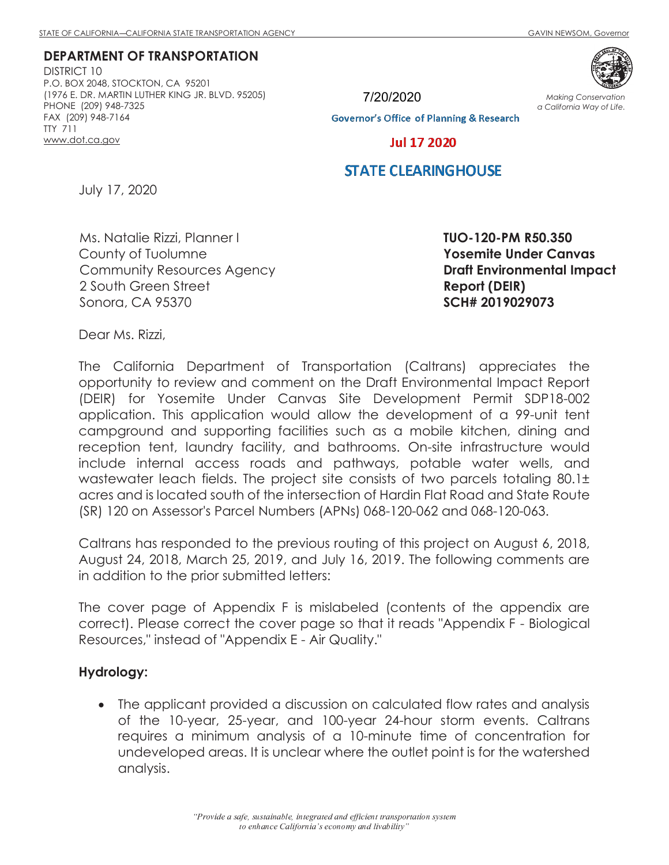**DEPARTMENT OF TRANSPORTATION** 

DISTRICT 10 P.O. BOX 2048, STOCKTON, CA 95201 (1976 E. DR. MARTIN LUTHER KING JR. BLVD. 95205) PHONE (209) 948-7325 FAX (209) 948-7164 TTY 711 www.dot.ca.gov



7/20/2020**Governor's Office of Planning & Research** 

*Making Conservation a California Way of Life.*

**Jul 17 2020** 

### **STATE CLEARINGHOUSE**

July 17, 2020

Ms. Natalie Rizzi, Planner I County of Tuolumne Community Resources Agency 2 South Green Street Sonora, CA 95370

**TUO-120-PM R50.350 Yosemite Under Canvas Draft Environmental Impact Report (DEIR) SCH# 2019029073** 

Dear Ms. Rizzi,

The California Department of Transportation (Caltrans) appreciates the opportunity to review and comment on the Draft Environmental Impact Report (DEIR) for Yosemite Under Canvas Site Development Permit SDP18-002 application. This application would allow the development of a 99-unit tent campground and supporting facilities such as a mobile kitchen, dining and reception tent, laundry facility, and bathrooms. On-site infrastructure would include internal access roads and pathways, potable water wells, and wastewater leach fields. The project site consists of two parcels totaling 80.1± acres and is located south of the intersection of Hardin Flat Road and State Route (SR) 120 on Assessor's Parcel Numbers (APNs) 068-120-062 and 068-120-063.

Caltrans has responded to the previous routing of this project on August 6, 2018, August 24, 2018, March 25, 2019, and July 16, 2019. The following comments are in addition to the prior submitted letters:

The cover page of Appendix F is mislabeled (contents of the appendix are correct). Please correct the cover page so that it reads "Appendix F - Biological Resources," instead of "Appendix E - Air Quality."

#### **Hydrology:**

· The applicant provided a discussion on calculated flow rates and analysis of the 10-year, 25-year, and 100-year 24-hour storm events. Caltrans requires a minimum analysis of a 10-minute time of concentration for undeveloped areas. It is unclear where the outlet point is for the watershed analysis.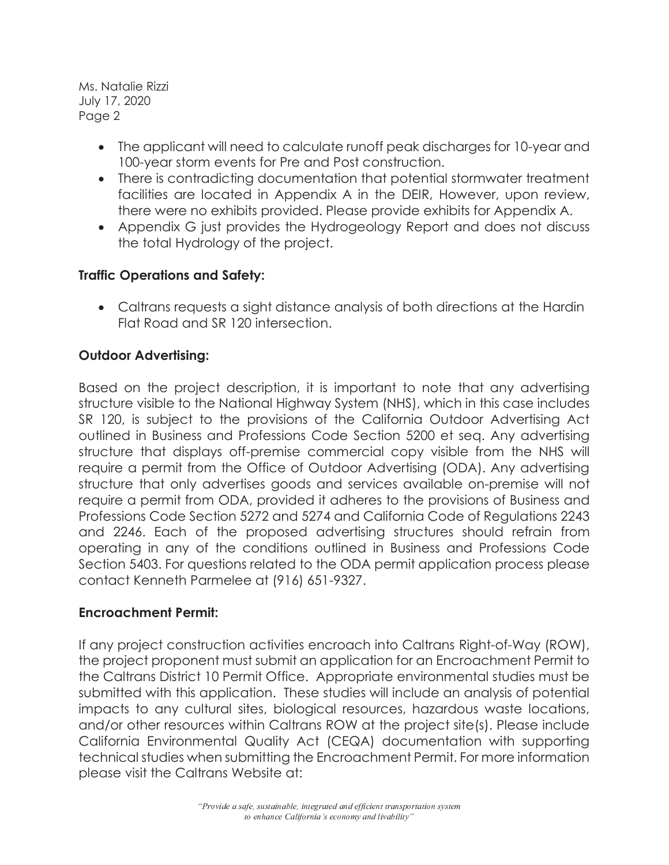Ms. Natalie Rizzi July 17, 2020 Page 2

- · The applicant will need to calculate runoff peak discharges for 10-year and 100-year storm events for Pre and Post construction.
- · There is contradicting documentation that potential stormwater treatment facilities are located in Appendix A in the DEIR, However, upon review, there were no exhibits provided. Please provide exhibits for Appendix A.
- · Appendix G just provides the Hydrogeology Report and does not discuss the total Hydrology of the project.

# **Traffic Operations and Safety:**

· Caltrans requests a sight distance analysis of both directions at the Hardin Flat Road and SR 120 intersection.

# **Outdoor Advertising:**

Based on the project description, it is important to note that any advertising structure visible to the National Highway System (NHS), which in this case includes SR 120, is subject to the provisions of the California Outdoor Advertising Act outlined in Business and Professions Code Section 5200 et seq. Any advertising structure that displays off-premise commercial copy visible from the NHS will require a permit from the Office of Outdoor Advertising (ODA). Any advertising structure that only advertises goods and services available on-premise will not require a permit from ODA, provided it adheres to the provisions of Business and Professions Code Section 5272 and 5274 and California Code of Regulations 2243 and 2246. Each of the proposed advertising structures should refrain from operating in any of the conditions outlined in Business and Professions Code Section 5403. For questions related to the ODA permit application process please contact Kenneth Parmelee at (916) 651-9327.

### **Encroachment Permit:**

If any project construction activities encroach into Caltrans Right-of-Way (ROW), the project proponent must submit an application for an Encroachment Permit to the Caltrans District 10 Permit Office. Appropriate environmental studies must be submitted with this application. These studies will include an analysis of potential impacts to any cultural sites, biological resources, hazardous waste locations, and/or other resources within Caltrans ROW at the project site(s). Please include California Environmental Quality Act (CEQA) documentation with supporting technical studies when submitting the Encroachment Permit. For more information please visit the Caltrans Website at: